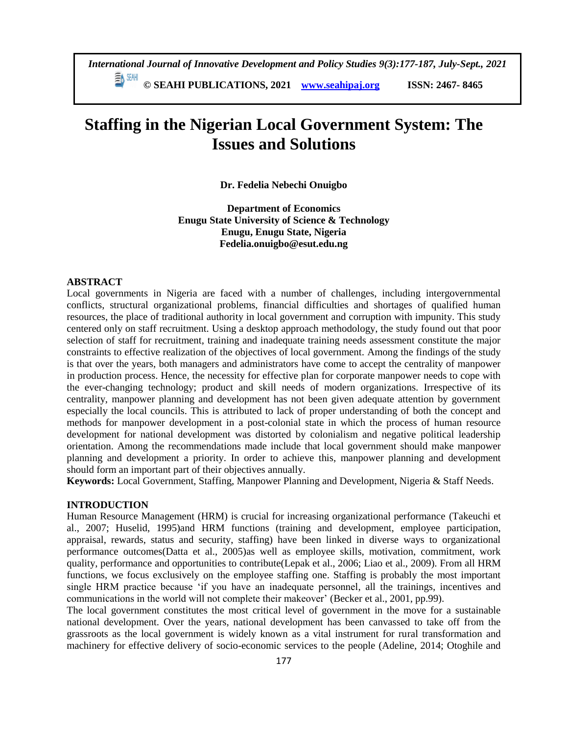# **Staffing in the Nigerian Local Government System: The Issues and Solutions**

**Dr. Fedelia Nebechi Onuigbo**

**Department of Economics Enugu State University of Science & Technology Enugu, Enugu State, Nigeria Fedelia.onuigbo@esut.edu.ng**

#### **ABSTRACT**

Local governments in Nigeria are faced with a number of challenges, including intergovernmental conflicts, structural organizational problems, financial difficulties and shortages of qualified human resources, the place of traditional authority in local government and corruption with impunity. This study centered only on staff recruitment. Using a desktop approach methodology, the study found out that poor selection of staff for recruitment, training and inadequate training needs assessment constitute the major constraints to effective realization of the objectives of local government. Among the findings of the study is that over the years, both managers and administrators have come to accept the centrality of manpower in production process. Hence, the necessity for effective plan for corporate manpower needs to cope with the ever-changing technology; product and skill needs of modern organizations. Irrespective of its centrality, manpower planning and development has not been given adequate attention by government especially the local councils. This is attributed to lack of proper understanding of both the concept and methods for manpower development in a post-colonial state in which the process of human resource development for national development was distorted by colonialism and negative political leadership orientation. Among the recommendations made include that local government should make manpower planning and development a priority. In order to achieve this, manpower planning and development should form an important part of their objectives annually.

**Keywords:** Local Government, Staffing, Manpower Planning and Development, Nigeria & Staff Needs.

## **INTRODUCTION**

Human Resource Management (HRM) is crucial for increasing organizational performance (Takeuchi et al., 2007; Huselid, 1995)and HRM functions (training and development, employee participation, appraisal, rewards, status and security, staffing) have been linked in diverse ways to organizational performance outcomes(Datta et al., 2005)as well as employee skills, motivation, commitment, work quality, performance and opportunities to contribute(Lepak et al., 2006; Liao et al., 2009). From all HRM functions, we focus exclusively on the employee staffing one. Staffing is probably the most important single HRM practice because 'if you have an inadequate personnel, all the trainings, incentives and communications in the world will not complete their makeover' (Becker et al., 2001, pp.99).

The local government constitutes the most critical level of government in the move for a sustainable national development. Over the years, national development has been canvassed to take off from the grassroots as the local government is widely known as a vital instrument for rural transformation and machinery for effective delivery of socio-economic services to the people (Adeline, 2014; Otoghile and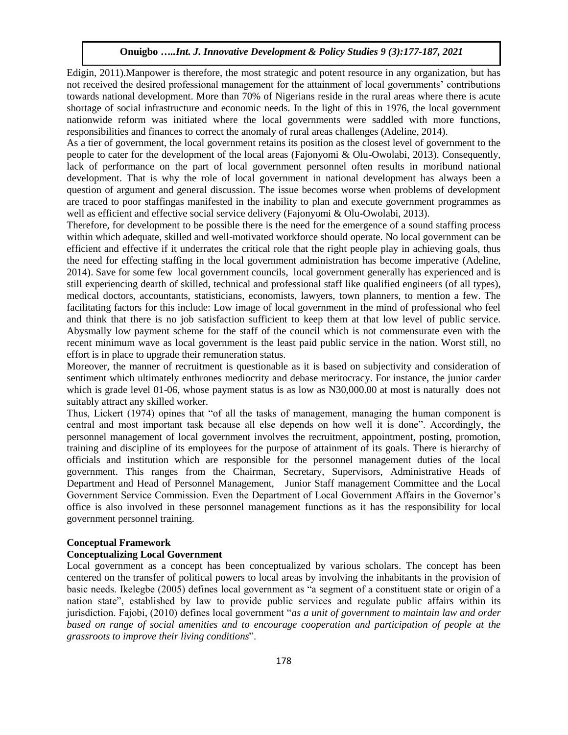Edigin, 2011).Manpower is therefore, the most strategic and potent resource in any organization, but has not received the desired professional management for the attainment of local governments' contributions towards national development. More than 70% of Nigerians reside in the rural areas where there is acute shortage of social infrastructure and economic needs. In the light of this in 1976, the local government nationwide reform was initiated where the local governments were saddled with more functions, responsibilities and finances to correct the anomaly of rural areas challenges (Adeline, 2014).

As a tier of government, the local government retains its position as the closest level of government to the people to cater for the development of the local areas (Fajonyomi & Olu-Owolabi, 2013). Consequently, lack of performance on the part of local government personnel often results in moribund national development. That is why the role of local government in national development has always been a question of argument and general discussion. The issue becomes worse when problems of development are traced to poor staffingas manifested in the inability to plan and execute government programmes as well as efficient and effective social service delivery (Fajonyomi & Olu-Owolabi, 2013).

Therefore, for development to be possible there is the need for the emergence of a sound staffing process within which adequate, skilled and well-motivated workforce should operate. No local government can be efficient and effective if it underrates the critical role that the right people play in achieving goals, thus the need for effecting staffing in the local government administration has become imperative (Adeline, 2014). Save for some few local government councils, local government generally has experienced and is still experiencing dearth of skilled, technical and professional staff like qualified engineers (of all types), medical doctors, accountants, statisticians, economists, lawyers, town planners, to mention a few. The facilitating factors for this include: Low image of local government in the mind of professional who feel and think that there is no job satisfaction sufficient to keep them at that low level of public service. Abysmally low payment scheme for the staff of the council which is not commensurate even with the recent minimum wave as local government is the least paid public service in the nation. Worst still, no effort is in place to upgrade their remuneration status.

Moreover, the manner of recruitment is questionable as it is based on subjectivity and consideration of sentiment which ultimately enthrones mediocrity and debase meritocracy. For instance, the junior carder which is grade level 01-06, whose payment status is as low as N30,000.00 at most is naturally does not suitably attract any skilled worker.

Thus, Lickert (1974) opines that "of all the tasks of management, managing the human component is central and most important task because all else depends on how well it is done". Accordingly, the personnel management of local government involves the recruitment, appointment, posting, promotion, training and discipline of its employees for the purpose of attainment of its goals. There is hierarchy of officials and institution which are responsible for the personnel management duties of the local government. This ranges from the Chairman, Secretary, Supervisors, Administrative Heads of Department and Head of Personnel Management, Junior Staff management Committee and the Local Government Service Commission. Even the Department of Local Government Affairs in the Governor's office is also involved in these personnel management functions as it has the responsibility for local government personnel training.

#### **Conceptual Framework**

#### **Conceptualizing Local Government**

Local government as a concept has been conceptualized by various scholars. The concept has been centered on the transfer of political powers to local areas by involving the inhabitants in the provision of basic needs. Ikelegbe (2005) defines local government as "a segment of a constituent state or origin of a nation state", established by law to provide public services and regulate public affairs within its jurisdiction. Fajobi, (2010) defines local government "*as a unit of government to maintain law and order based on range of social amenities and to encourage cooperation and participation of people at the grassroots to improve their living conditions*".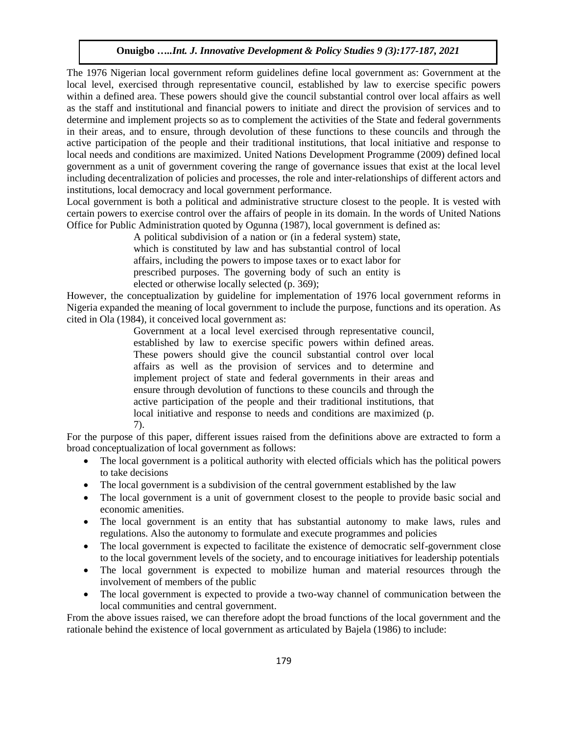The 1976 Nigerian local government reform guidelines define local government as: Government at the local level, exercised through representative council, established by law to exercise specific powers within a defined area. These powers should give the council substantial control over local affairs as well as the staff and institutional and financial powers to initiate and direct the provision of services and to determine and implement projects so as to complement the activities of the State and federal governments in their areas, and to ensure, through devolution of these functions to these councils and through the active participation of the people and their traditional institutions, that local initiative and response to local needs and conditions are maximized. United Nations Development Programme (2009) defined local government as a unit of government covering the range of governance issues that exist at the local level including decentralization of policies and processes, the role and inter-relationships of different actors and institutions, local democracy and local government performance.

Local government is both a political and administrative structure closest to the people. It is vested with certain powers to exercise control over the affairs of people in its domain. In the words of United Nations Office for Public Administration quoted by Ogunna (1987), local government is defined as:

> A political subdivision of a nation or (in a federal system) state, which is constituted by law and has substantial control of local affairs, including the powers to impose taxes or to exact labor for prescribed purposes. The governing body of such an entity is elected or otherwise locally selected (p. 369);

However, the conceptualization by guideline for implementation of 1976 local government reforms in Nigeria expanded the meaning of local government to include the purpose, functions and its operation. As cited in Ola (1984), it conceived local government as:

> Government at a local level exercised through representative council, established by law to exercise specific powers within defined areas. These powers should give the council substantial control over local affairs as well as the provision of services and to determine and implement project of state and federal governments in their areas and ensure through devolution of functions to these councils and through the active participation of the people and their traditional institutions, that local initiative and response to needs and conditions are maximized (p. 7).

For the purpose of this paper, different issues raised from the definitions above are extracted to form a broad conceptualization of local government as follows:

- The local government is a political authority with elected officials which has the political powers to take decisions
- The local government is a subdivision of the central government established by the law
- The local government is a unit of government closest to the people to provide basic social and economic amenities.
- The local government is an entity that has substantial autonomy to make laws, rules and regulations. Also the autonomy to formulate and execute programmes and policies
- The local government is expected to facilitate the existence of democratic self-government close to the local government levels of the society, and to encourage initiatives for leadership potentials
- The local government is expected to mobilize human and material resources through the involvement of members of the public
- The local government is expected to provide a two-way channel of communication between the local communities and central government.

From the above issues raised, we can therefore adopt the broad functions of the local government and the rationale behind the existence of local government as articulated by Bajela (1986) to include: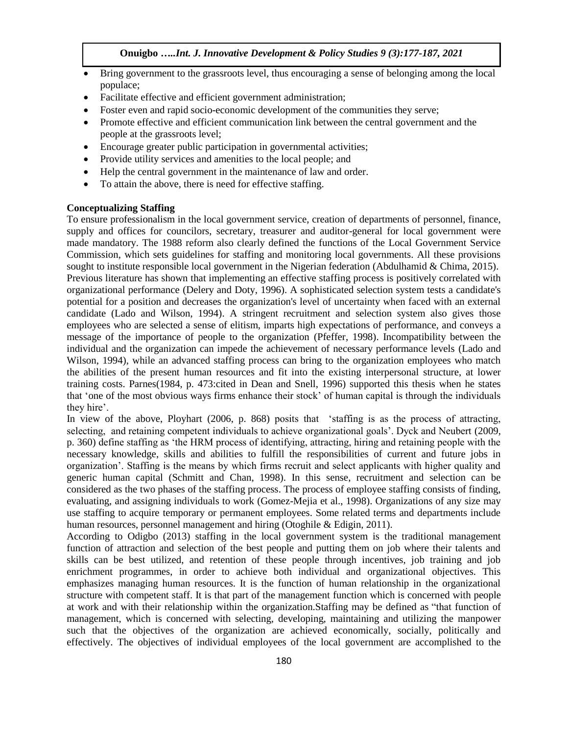- Bring government to the grassroots level, thus encouraging a sense of belonging among the local populace;
- Facilitate effective and efficient government administration;
- Foster even and rapid socio-economic development of the communities they serve;
- Promote effective and efficient communication link between the central government and the people at the grassroots level;
- Encourage greater public participation in governmental activities;
- Provide utility services and amenities to the local people; and
- Help the central government in the maintenance of law and order.
- To attain the above, there is need for effective staffing.

#### **Conceptualizing Staffing**

To ensure professionalism in the local government service, creation of departments of personnel, finance, supply and offices for councilors, secretary, treasurer and auditor-general for local government were made mandatory. The 1988 reform also clearly defined the functions of the Local Government Service Commission, which sets guidelines for staffing and monitoring local governments. All these provisions sought to institute responsible local government in the Nigerian federation (Abdulhamid & Chima, 2015). Previous literature has shown that implementing an effective staffing process is positively correlated with organizational performance [\(Delery and Doty, 1996\)](#page-10-0). A sophisticated selection system tests a candidate's potential for a position and decreases the organization's level of uncertainty when faced with an external candidate [\(Lado and Wilson, 1994\)](#page-10-1). A stringent recruitment and selection system also gives those employees who are selected a sense of elitism, imparts high expectations of performance, and conveys a message of the importance of people to the organization [\(Pfeffer, 1998\)](#page-10-2). Incompatibility between the individual and the organization can impede the achievement of necessary performance levels [\(Lado and](#page-10-1)  [Wilson, 1994\)](#page-10-1), while an advanced staffing process can bring to the organization employees who match the abilities of the present human resources and fit into the existing interpersonal structure, at lower training costs. Parnes[\(1984, p. 473:cited in Dean and Snell, 1996\)](#page-10-3) supported this thesis when he states that 'one of the most obvious ways firms enhance their stock' of human capital is through the individuals they hire'.

In view of the above, Ployhart [\(2006, p. 868\)](#page-10-4) posits that 'staffing is as the process of attracting, selecting, and retaining competent individuals to achieve organizational goals'. Dyck and Neubert [\(2009,](#page-10-5)  [p. 360\)](#page-10-5) define staffing as 'the HRM process of identifying, attracting, hiring and retaining people with the necessary knowledge, skills and abilities to fulfill the responsibilities of current and future jobs in organization'. Staffing is the means by which firms recruit and select applicants with higher quality and generic human capital [\(Schmitt and Chan, 1998\)](#page-10-6). In this sense, recruitment and selection can be considered as the two phases of the staffing process. The process of employee staffing consists of finding, evaluating, and assigning individuals to work [\(Gomez-Mejia et al., 1998\)](#page-10-7). Organizations of any size may use staffing to acquire temporary or permanent employees. Some related terms and departments include human resources, personnel management and hiring (Otoghile & Edigin, 2011).

According to Odigbo (2013) staffing in the local government system is the traditional management function of attraction and selection of the best people and putting them on job where their talents and skills can be best utilized, and retention of these people through incentives, job training and job enrichment programmes, in order to achieve both individual and organizational objectives. This emphasizes managing human resources. It is the function of human relationship in the organizational structure with competent staff. It is that part of the management function which is concerned with people at work and with their relationship within the organization.Staffing may be defined as "that function of management, which is concerned with selecting, developing, maintaining and utilizing the manpower such that the objectives of the organization are achieved economically, socially, politically and effectively. The objectives of individual employees of the local government are accomplished to the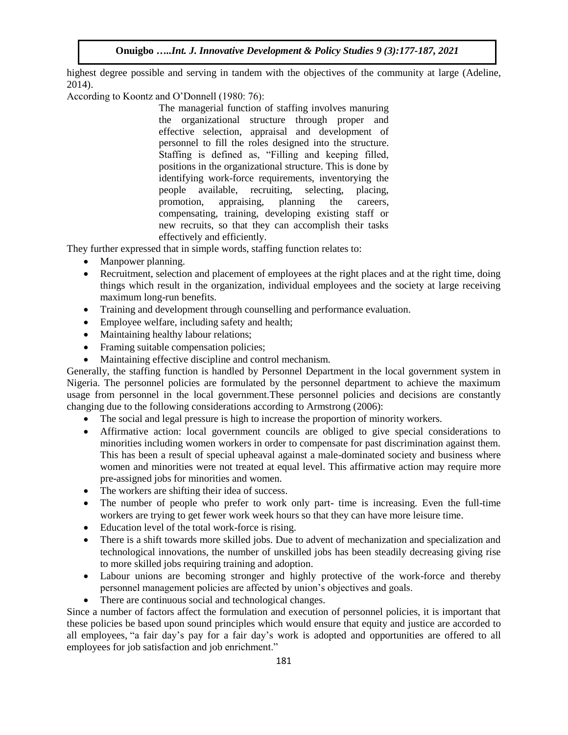highest degree possible and serving in tandem with the objectives of the community at large (Adeline, 2014).

According to Koontz and O'Donnell (1980: 76):

The managerial function of staffing involves manuring the organizational structure through proper and effective selection, appraisal and development of personnel to fill the roles designed into the structure. Staffing is defined as, "Filling and keeping filled, positions in the organizational structure. This is done by identifying work-force requirements, inventorying the people available, recruiting, selecting, placing, people available, recruiting, selecting, placing, promotion, appraising, planning the careers, compensating, training, developing existing staff or new recruits, so that they can accomplish their tasks effectively and efficiently.

They further expressed that in simple words, staffing function relates to:

- Manpower planning.
- Recruitment, selection and placement of employees at the right places and at the right time, doing things which result in the organization, individual employees and the society at large receiving maximum long-run benefits.
- Training and development through counselling and performance evaluation.
- Employee welfare, including safety and health;
- Maintaining healthy labour relations;
- Framing suitable compensation policies;
- Maintaining effective discipline and control mechanism.

Generally, the staffing function is handled by Personnel Department in the local government system in Nigeria. The personnel policies are formulated by the personnel department to achieve the maximum usage from personnel in the local government.These personnel policies and decisions are constantly changing due to the following considerations according to Armstrong (2006):

- The social and legal pressure is high to increase the proportion of minority workers.
- Affirmative action: local government councils are obliged to give special considerations to minorities including women workers in order to compensate for past discrimination against them. This has been a result of special upheaval against a male-dominated society and business where women and minorities were not treated at equal level. This affirmative action may require more pre-assigned jobs for minorities and women.
- The workers are shifting their idea of success.
- The number of people who prefer to work only part- time is increasing. Even the full-time workers are trying to get fewer work week hours so that they can have more leisure time.
- Education level of the total work-force is rising.
- There is a shift towards more skilled jobs. Due to advent of mechanization and specialization and technological innovations, the number of unskilled jobs has been steadily decreasing giving rise to more skilled jobs requiring training and adoption.
- Labour unions are becoming stronger and highly protective of the work-force and thereby personnel management policies are affected by union's objectives and goals.
- There are continuous social and technological changes.

Since a number of factors affect the formulation and execution of personnel policies, it is important that these policies be based upon sound principles which would ensure that equity and justice are accorded to all employees, "a fair day's pay for a fair day's work is adopted and opportunities are offered to all employees for job satisfaction and job enrichment."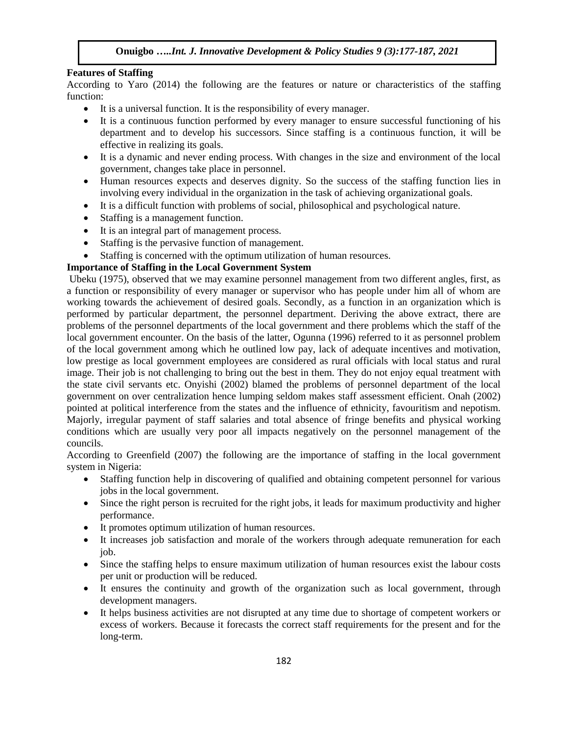#### **Features of Staffing**

According to Yaro (2014) the following are the features or nature or characteristics of the staffing function:

- It is a universal function. It is the responsibility of every manager.
- It is a continuous function performed by every manager to ensure successful functioning of his department and to develop his successors. Since staffing is a continuous function, it will be effective in realizing its goals.
- It is a dynamic and never ending process. With changes in the size and environment of the local government, changes take place in personnel.
- Human resources expects and deserves dignity. So the success of the staffing function lies in involving every individual in the organization in the task of achieving organizational goals.
- It is a difficult function with problems of social, philosophical and psychological nature.
- Staffing is a management function.
- It is an integral part of management process.
- Staffing is the pervasive function of management.
- Staffing is concerned with the optimum utilization of human resources.

#### **Importance of Staffing in the Local Government System**

Ubeku (1975), observed that we may examine personnel management from two different angles, first, as a function or responsibility of every manager or supervisor who has people under him all of whom are working towards the achievement of desired goals. Secondly, as a function in an organization which is performed by particular department, the personnel department. Deriving the above extract, there are problems of the personnel departments of the local government and there problems which the staff of the local government encounter. On the basis of the latter, Ogunna (1996) referred to it as personnel problem of the local government among which he outlined low pay, lack of adequate incentives and motivation, low prestige as local government employees are considered as rural officials with local status and rural image. Their job is not challenging to bring out the best in them. They do not enjoy equal treatment with the state civil servants etc. Onyishi (2002) blamed the problems of personnel department of the local government on over centralization hence lumping seldom makes staff assessment efficient. Onah (2002) pointed at political interference from the states and the influence of ethnicity, favouritism and nepotism. Majorly, irregular payment of staff salaries and total absence of fringe benefits and physical working conditions which are usually very poor all impacts negatively on the personnel management of the councils.

According to Greenfield (2007) the following are the importance of staffing in the local government system in Nigeria:

- Staffing function help in discovering of qualified and obtaining competent personnel for various jobs in the local government.
- Since the right person is recruited for the right jobs, it leads for maximum productivity and higher performance.
- It promotes optimum utilization of human resources.
- It increases job satisfaction and morale of the workers through adequate remuneration for each job.
- Since the staffing helps to ensure maximum utilization of human resources exist the labour costs per unit or production will be reduced.
- It ensures the continuity and growth of the organization such as local government, through development managers.
- It helps business activities are not disrupted at any time due to shortage of competent workers or excess of workers. Because it forecasts the correct staff requirements for the present and for the long-term.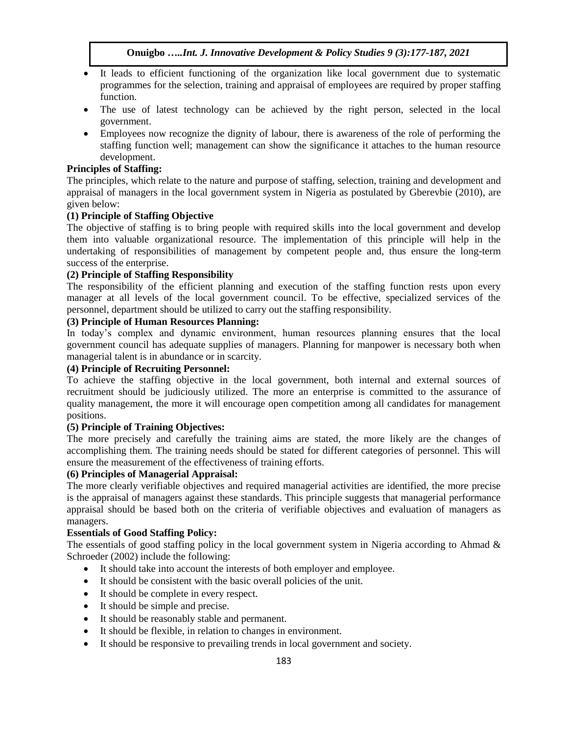- It leads to efficient functioning of the organization like local government due to systematic programmes for the selection, training and appraisal of employees are required by proper staffing function.
- The use of latest technology can be achieved by the right person, selected in the local government.
- Employees now recognize the dignity of labour, there is awareness of the role of performing the staffing function well; management can show the significance it attaches to the human resource development.

## **Principles of Staffing:**

The principles, which relate to the nature and purpose of staffing, selection, training and development and appraisal of managers in the local government system in Nigeria as postulated by Gberevbie (2010), are given below:

## **(1) Principle of Staffing Objective**

The objective of staffing is to bring people with required skills into the local government and develop them into valuable organizational resource. The implementation of this principle will help in the undertaking of responsibilities of management by competent people and, thus ensure the long-term success of the enterprise.

## **(2) Principle of Staffing Responsibility**

The responsibility of the efficient planning and execution of the staffing function rests upon every manager at all levels of the local government council. To be effective, specialized services of the personnel, department should be utilized to carry out the staffing responsibility.

## **(3) Principle of Human Resources Planning:**

In today's complex and dynamic environment, human resources planning ensures that the local government council has adequate supplies of managers. Planning for manpower is necessary both when managerial talent is in abundance or in scarcity.

## **(4) Principle of Recruiting Personnel:**

To achieve the staffing objective in the local government, both internal and external sources of recruitment should be judiciously utilized. The more an enterprise is committed to the assurance of quality management, the more it will encourage open competition among all candidates for management positions.

## **(5) Principle of Training Objectives:**

The more precisely and carefully the training aims are stated, the more likely are the changes of accomplishing them. The training needs should be stated for different categories of personnel. This will ensure the measurement of the effectiveness of training efforts.

## **(6) Principles of Managerial Appraisal:**

The more clearly verifiable objectives and required managerial activities are identified, the more precise is the appraisal of managers against these standards. This principle suggests that managerial performance appraisal should be based both on the criteria of verifiable objectives and evaluation of managers as managers.

## **Essentials of Good Staffing Policy:**

The essentials of good staffing policy in the local government system in Nigeria according to Ahmad  $\&$ Schroeder (2002) include the following:

- It should take into account the interests of both employer and employee.
- It should be consistent with the basic overall policies of the unit.
- It should be complete in every respect.
- It should be simple and precise.
- It should be reasonably stable and permanent.
- It should be flexible, in relation to changes in environment.
- It should be responsive to prevailing trends in local government and society.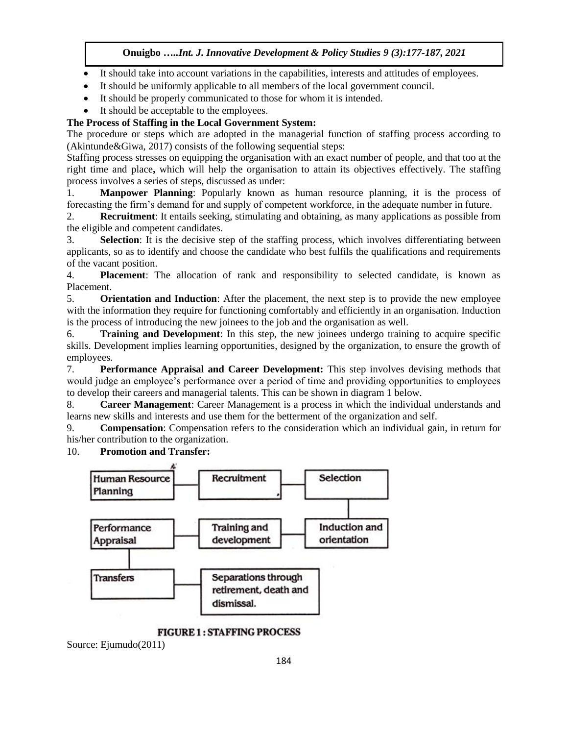- It should take into account variations in the capabilities, interests and attitudes of employees.
- It should be uniformly applicable to all members of the local government council.
- It should be properly communicated to those for whom it is intended.
- It should be acceptable to the employees.

# **The Process of Staffing in the Local Government System:**

The procedure or steps which are adopted in the managerial function of staffing process according to (Akintunde&Giwa, 2017) consists of the following sequential steps:

Staffing process stresses on equipping the organisation with an exact number of people, and that too at the right time and place**,** which will help the organisation to attain its objectives effectively. The staffing process involves a series of steps, discussed as under:

1. **Manpower Planning**: Popularly known as human resource planning, it is the process of forecasting the firm's demand for and supply of competent workforce, in the adequate number in future.

2. **Recruitment**: It entails seeking, stimulating and obtaining, as many applications as possible from the eligible and competent candidates.

3. **Selection**: It is the decisive step of the staffing process, which involves differentiating between applicants, so as to identify and choose the candidate who best fulfils the qualifications and requirements of the vacant position.

4. **Placement**: The allocation of rank and responsibility to selected candidate, is known as Placement.

5. **Orientation and Induction**: After the placement, the next step is to provide the new employee with the information they require for functioning comfortably and efficiently in an organisation. Induction is the process of introducing the new joinees to the job and the organisation as well.

6. **Training and Development**: In this step, the new joinees undergo training to acquire specific skills. Development implies learning opportunities, designed by the organization, to ensure the growth of employees.

7. **Performance Appraisal and Career Development:** This step involves devising methods that would judge an employee's performance over a period of time and providing opportunities to employees to develop their careers and managerial talents. This can be shown in diagram 1 below.

8. **Career Management**: Career Management is a process in which the individual understands and learns new skills and interests and use them for the betterment of the organization and self.

9. **Compensation**: Compensation refers to the consideration which an individual gain, in return for his/her contribution to the organization.

# 10. **Promotion and Transfer:**



**FIGURE 1: STAFFING PROCESS** 

Source: Ejumudo(2011)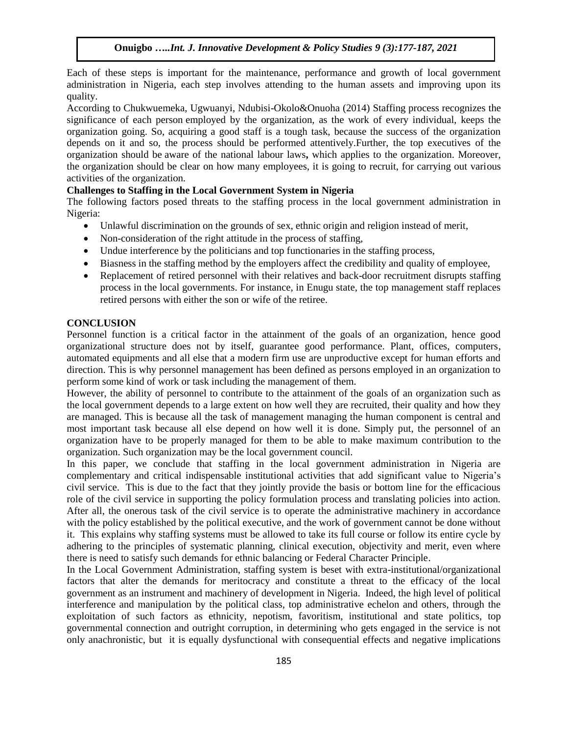Each of these steps is important for the maintenance, performance and growth of local government administration in Nigeria, each step involves attending to the human assets and improving upon its quality.

According to Chukwuemeka, Ugwuanyi, Ndubisi-Okolo&Onuoha (2014) Staffing process recognizes the significance of each person employed by the organization, as the work of every individual, keeps the organization going. So, acquiring a good staff is a tough task, because the success of the organization depends on it and so, the process should be performed attentively.Further, the top executives of the organization should be aware of the national labour laws**,** which applies to the organization. Moreover, the organization should be clear on how many employees, it is going to recruit, for carrying out various activities of the organization.

#### **Challenges to Staffing in the Local Government System in Nigeria**

The following factors posed threats to the staffing process in the local government administration in Nigeria:

- Unlawful discrimination on the grounds of sex, ethnic origin and religion instead of merit,
- Non-consideration of the right attitude in the process of staffing,
- Undue interference by the politicians and top functionaries in the staffing process,
- Biasness in the staffing method by the employers affect the credibility and quality of employee,
- Replacement of retired personnel with their relatives and back-door recruitment disrupts staffing process in the local governments. For instance, in Enugu state, the top management staff replaces retired persons with either the son or wife of the retiree.

#### **CONCLUSION**

Personnel function is a critical factor in the attainment of the goals of an organization, hence good organizational structure does not by itself, guarantee good performance. Plant, offices, computers, automated equipments and all else that a modern firm use are unproductive except for human efforts and direction. This is why personnel management has been defined as persons employed in an organization to perform some kind of work or task including the management of them.

However, the ability of personnel to contribute to the attainment of the goals of an organization such as the local government depends to a large extent on how well they are recruited, their quality and how they are managed. This is because all the task of management managing the human component is central and most important task because all else depend on how well it is done. Simply put, the personnel of an organization have to be properly managed for them to be able to make maximum contribution to the organization. Such organization may be the local government council.

In this paper, we conclude that staffing in the local government administration in Nigeria are complementary and critical indispensable institutional activities that add significant value to Nigeria's civil service. This is due to the fact that they jointly provide the basis or bottom line for the efficacious role of the civil service in supporting the policy formulation process and translating policies into action. After all, the onerous task of the civil service is to operate the administrative machinery in accordance with the policy established by the political executive, and the work of government cannot be done without it. This explains why staffing systems must be allowed to take its full course or follow its entire cycle by adhering to the principles of systematic planning, clinical execution, objectivity and merit, even where there is need to satisfy such demands for ethnic balancing or Federal Character Principle.

In the Local Government Administration, staffing system is beset with extra-institutional/organizational factors that alter the demands for meritocracy and constitute a threat to the efficacy of the local government as an instrument and machinery of development in Nigeria. Indeed, the high level of political interference and manipulation by the political class, top administrative echelon and others, through the exploitation of such factors as ethnicity, nepotism, favoritism, institutional and state politics, top governmental connection and outright corruption, in determining who gets engaged in the service is not only anachronistic, but it is equally dysfunctional with consequential effects and negative implications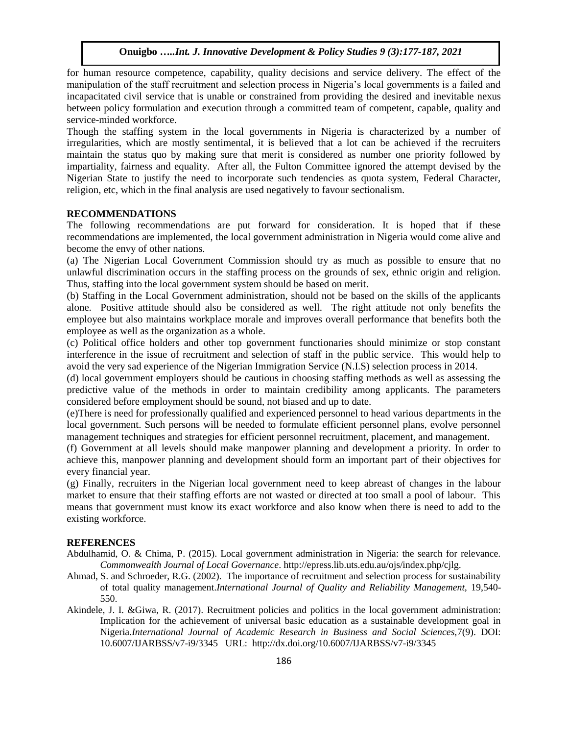for human resource competence, capability, quality decisions and service delivery. The effect of the manipulation of the staff recruitment and selection process in Nigeria's local governments is a failed and incapacitated civil service that is unable or constrained from providing the desired and inevitable nexus between policy formulation and execution through a committed team of competent, capable, quality and service-minded workforce.

Though the staffing system in the local governments in Nigeria is characterized by a number of irregularities, which are mostly sentimental, it is believed that a lot can be achieved if the recruiters maintain the status quo by making sure that merit is considered as number one priority followed by impartiality, fairness and equality. After all, the Fulton Committee ignored the attempt devised by the Nigerian State to justify the need to incorporate such tendencies as quota system, Federal Character, religion, etc, which in the final analysis are used negatively to favour sectionalism.

## **RECOMMENDATIONS**

The following recommendations are put forward for consideration. It is hoped that if these recommendations are implemented, the local government administration in Nigeria would come alive and become the envy of other nations.

(a) The Nigerian Local Government Commission should try as much as possible to ensure that no unlawful discrimination occurs in the staffing process on the grounds of sex, ethnic origin and religion. Thus, staffing into the local government system should be based on merit.

(b) Staffing in the Local Government administration, should not be based on the skills of the applicants alone. Positive attitude should also be considered as well. The right attitude not only benefits the employee but also maintains workplace morale and improves overall performance that benefits both the employee as well as the organization as a whole.

(c) Political office holders and other top government functionaries should minimize or stop constant interference in the issue of recruitment and selection of staff in the public service. This would help to avoid the very sad experience of the Nigerian Immigration Service (N.I.S) selection process in 2014.

(d) local government employers should be cautious in choosing staffing methods as well as assessing the predictive value of the methods in order to maintain credibility among applicants. The parameters considered before employment should be sound, not biased and up to date.

(e)There is need for professionally qualified and experienced personnel to head various departments in the local government. Such persons will be needed to formulate efficient personnel plans, evolve personnel management techniques and strategies for efficient personnel recruitment, placement, and management.

(f) Government at all levels should make manpower planning and development a priority. In order to achieve this, manpower planning and development should form an important part of their objectives for every financial year.

(g) Finally, recruiters in the Nigerian local government need to keep abreast of changes in the labour market to ensure that their staffing efforts are not wasted or directed at too small a pool of labour. This means that government must know its exact workforce and also know when there is need to add to the existing workforce.

## **REFERENCES**

- Abdulhamid, O. & Chima, P. (2015). Local government administration in Nigeria: the search for relevance. *Commonwealth Journal of Local Governance*. http://epress.lib.uts.edu.au/ojs/index.php/cjlg.
- Ahmad, S. and Schroeder, R.G. (2002). The importance of recruitment and selection process for sustainability of total quality management.*International Journal of Quality and Reliability Management,* 19,540- 550.
- Akindele, J. I. &Giwa, R. (2017). Recruitment policies and politics in the local government administration: Implication for the achievement of universal basic education as a sustainable development goal in Nigeria.*International Journal of Academic Research in Business and Social Sciences,*7(9). DOI: 10.6007/IJARBSS/v7-i9/3345 URL: http://dx.doi.org/10.6007/IJARBSS/v7-i9/3345